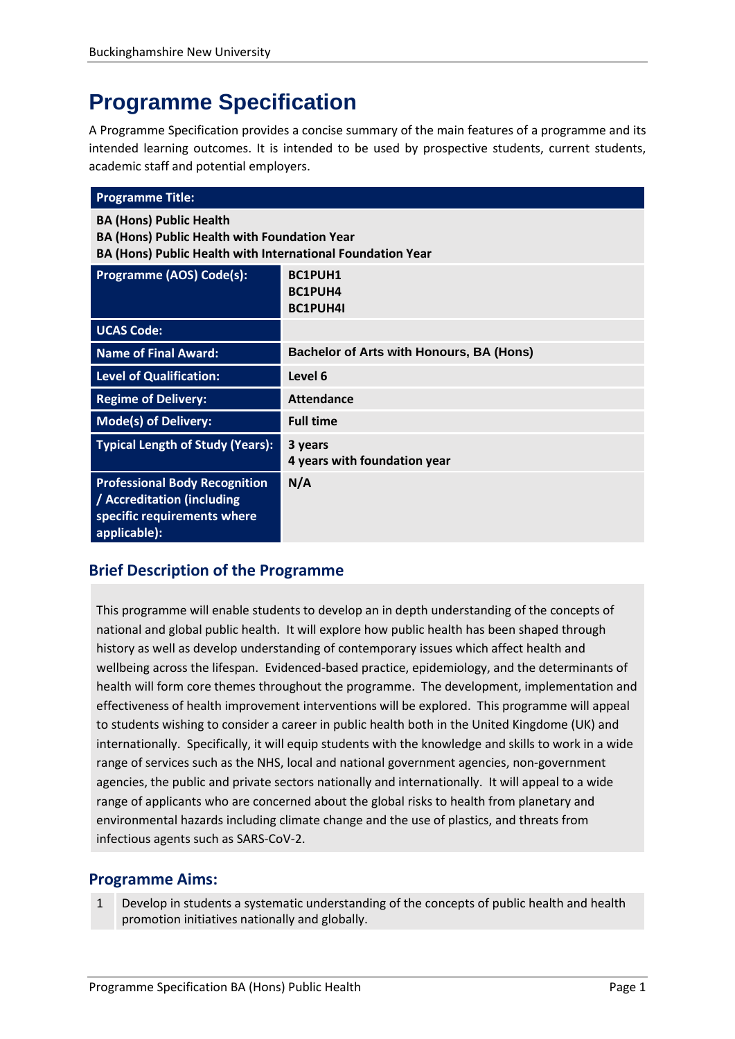# **Programme Specification**

A Programme Specification provides a concise summary of the main features of a programme and its intended learning outcomes. It is intended to be used by prospective students, current students, academic staff and potential employers.

| <b>Programme Title:</b>                                                                                                                             |                                                 |  |
|-----------------------------------------------------------------------------------------------------------------------------------------------------|-------------------------------------------------|--|
| <b>BA (Hons) Public Health</b><br><b>BA (Hons) Public Health with Foundation Year</b><br>BA (Hons) Public Health with International Foundation Year |                                                 |  |
| <b>Programme (AOS) Code(s):</b>                                                                                                                     | BC1PUH1<br>BC1PUH4<br><b>BC1PUH4I</b>           |  |
| <b>UCAS Code:</b>                                                                                                                                   |                                                 |  |
| <b>Name of Final Award:</b>                                                                                                                         | <b>Bachelor of Arts with Honours, BA (Hons)</b> |  |
| Level of Qualification:                                                                                                                             | Level 6                                         |  |
| <b>Regime of Delivery:</b>                                                                                                                          | <b>Attendance</b>                               |  |
| <b>Mode(s) of Delivery:</b>                                                                                                                         | <b>Full time</b>                                |  |
| <b>Typical Length of Study (Years):</b>                                                                                                             | 3 years<br>4 years with foundation year         |  |
| <b>Professional Body Recognition</b><br>/ Accreditation (including<br>specific requirements where<br>applicable):                                   | N/A                                             |  |

# **Brief Description of the Programme**

This programme will enable students to develop an in depth understanding of the concepts of national and global public health. It will explore how public health has been shaped through history as well as develop understanding of contemporary issues which affect health and wellbeing across the lifespan. Evidenced-based practice, epidemiology, and the determinants of health will form core themes throughout the programme. The development, implementation and effectiveness of health improvement interventions will be explored. This programme will appeal to students wishing to consider a career in public health both in the United Kingdome (UK) and internationally. Specifically, it will equip students with the knowledge and skills to work in a wide range of services such as the NHS, local and national government agencies, non-government agencies, the public and private sectors nationally and internationally. It will appeal to a wide range of applicants who are concerned about the global risks to health from planetary and environmental hazards including climate change and the use of plastics, and threats from infectious agents such as SARS-CoV-2.

# **Programme Aims:**

Develop in students a systematic understanding of the concepts of public health and health promotion initiatives nationally and globally.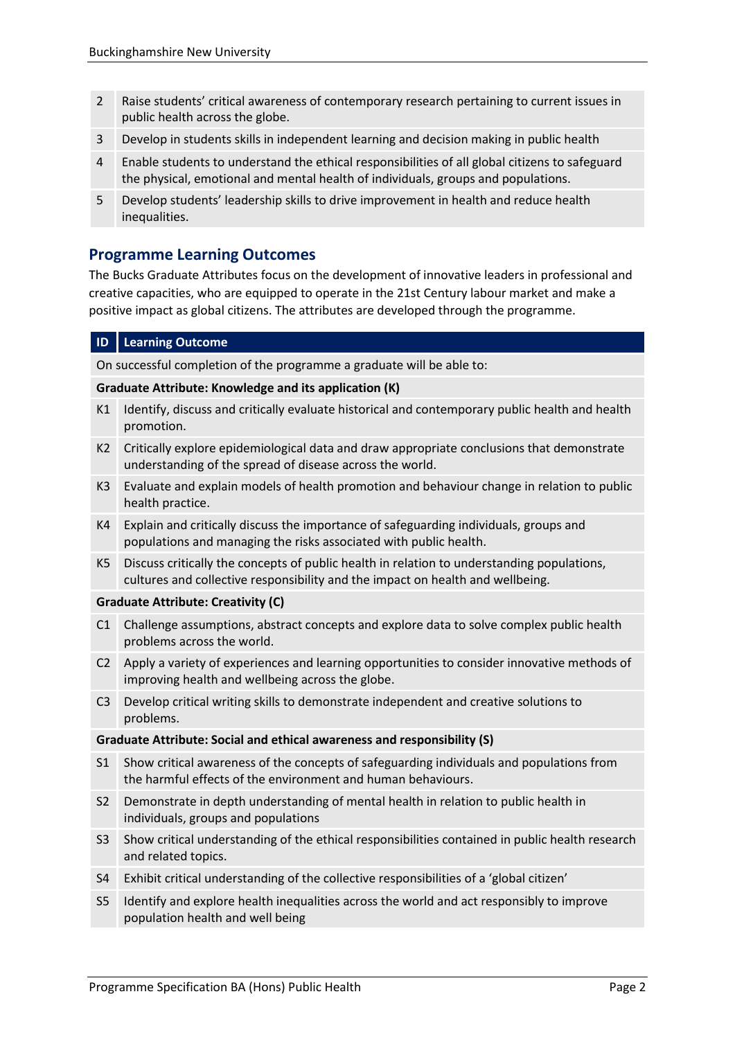- 2 Raise students' critical awareness of contemporary research pertaining to current issues in public health across the globe.
- 3 Develop in students skills in independent learning and decision making in public health
- 4 Enable students to understand the ethical responsibilities of all global citizens to safeguard the physical, emotional and mental health of individuals, groups and populations.
- 5 Develop students' leadership skills to drive improvement in health and reduce health inequalities.

## **Programme Learning Outcomes**

The Bucks Graduate Attributes focus on the development of innovative leaders in professional and creative capacities, who are equipped to operate in the 21st Century labour market and make a positive impact as global citizens. The attributes are developed through the programme.

#### **ID Learning Outcome**

On successful completion of the programme a graduate will be able to:

#### **Graduate Attribute: Knowledge and its application (K)**

- K1 Identify, discuss and critically evaluate historical and contemporary public health and health promotion.
- K2 Critically explore epidemiological data and draw appropriate conclusions that demonstrate understanding of the spread of disease across the world.
- K3 Evaluate and explain models of health promotion and behaviour change in relation to public health practice.
- K4 Explain and critically discuss the importance of safeguarding individuals, groups and populations and managing the risks associated with public health.
- K5 Discuss critically the concepts of public health in relation to understanding populations, cultures and collective responsibility and the impact on health and wellbeing.

#### **Graduate Attribute: Creativity (C)**

- C1 Challenge assumptions, abstract concepts and explore data to solve complex public health problems across the world.
- C2 Apply a variety of experiences and learning opportunities to consider innovative methods of improving health and wellbeing across the globe.
- C3 Develop critical writing skills to demonstrate independent and creative solutions to problems.

#### **Graduate Attribute: Social and ethical awareness and responsibility (S)**

- S1 Show critical awareness of the concepts of safeguarding individuals and populations from the harmful effects of the environment and human behaviours.
- S2 Demonstrate in depth understanding of mental health in relation to public health in individuals, groups and populations
- S3 Show critical understanding of the ethical responsibilities contained in public health research and related topics.
- S4 Exhibit critical understanding of the collective responsibilities of a 'global citizen'
- S5 Identify and explore health inequalities across the world and act responsibly to improve population health and well being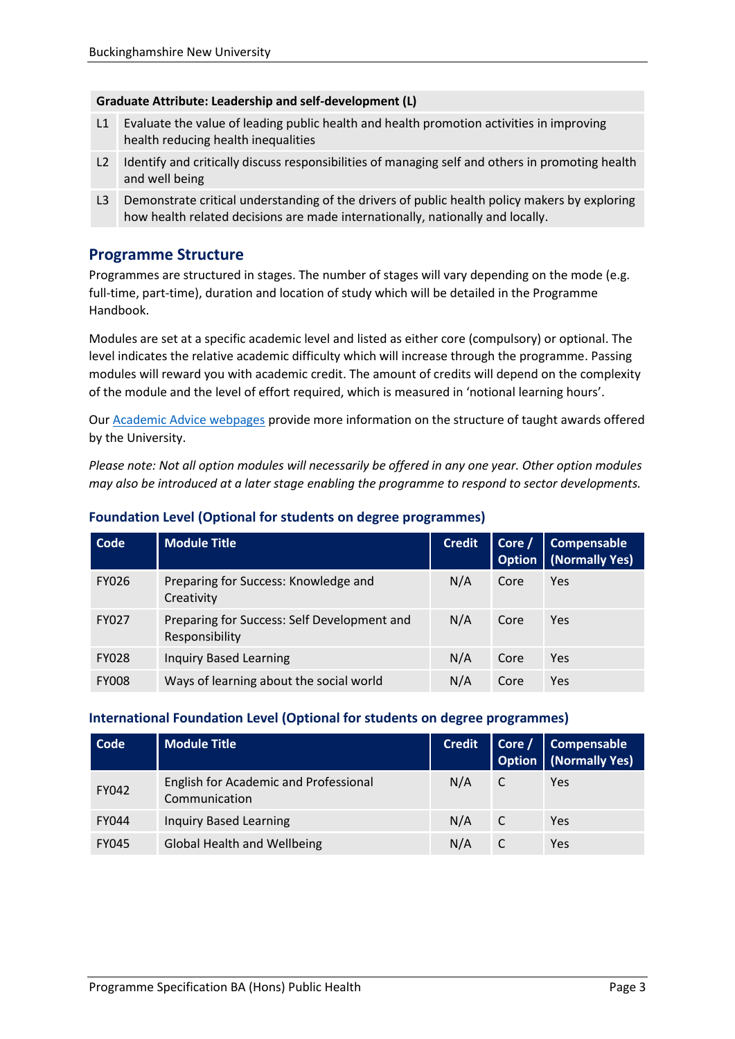#### **Graduate Attribute: Leadership and self-development (L)**

- L1 Evaluate the value of leading public health and health promotion activities in improving health reducing health inequalities
- L2 Identify and critically discuss responsibilities of managing self and others in promoting health and well being
- L3 Demonstrate critical understanding of the drivers of public health policy makers by exploring how health related decisions are made internationally, nationally and locally.

# **Programme Structure**

Programmes are structured in stages. The number of stages will vary depending on the mode (e.g. full-time, part-time), duration and location of study which will be detailed in the Programme Handbook.

Modules are set at a specific academic level and listed as either core (compulsory) or optional. The level indicates the relative academic difficulty which will increase through the programme. Passing modules will reward you with academic credit. The amount of credits will depend on the complexity of the module and the level of effort required, which is measured in 'notional learning hours'.

Our **Academic Advice webpages** provide more information on the structure of taught awards offered by the University.

*Please note: Not all option modules will necessarily be offered in any one year. Other option modules may also be introduced at a later stage enabling the programme to respond to sector developments.*

| Code         | <b>Module Title</b>                                           | <b>Credit</b> | Core /<br><b>Option</b> | Compensable<br>(Normally Yes) |
|--------------|---------------------------------------------------------------|---------------|-------------------------|-------------------------------|
| <b>FY026</b> | Preparing for Success: Knowledge and<br>Creativity            | N/A           | Core                    | Yes                           |
| FY027        | Preparing for Success: Self Development and<br>Responsibility | N/A           | Core                    | Yes                           |
| <b>FY028</b> | <b>Inquiry Based Learning</b>                                 | N/A           | Core                    | Yes                           |
| <b>FY008</b> | Ways of learning about the social world                       | N/A           | Core                    | Yes                           |

### **Foundation Level (Optional for students on degree programmes)**

#### **International Foundation Level (Optional for students on degree programmes)**

| Code         | <b>Module Title</b>                                    | <b>Credit</b> |   | Core / Compensable<br>Option (Normally Yes) |
|--------------|--------------------------------------------------------|---------------|---|---------------------------------------------|
| <b>FY042</b> | English for Academic and Professional<br>Communication | N/A           |   | Yes                                         |
| <b>FY044</b> | <b>Inquiry Based Learning</b>                          | N/A           | C | Yes                                         |
| <b>FY045</b> | Global Health and Wellbeing                            | N/A           |   | Yes                                         |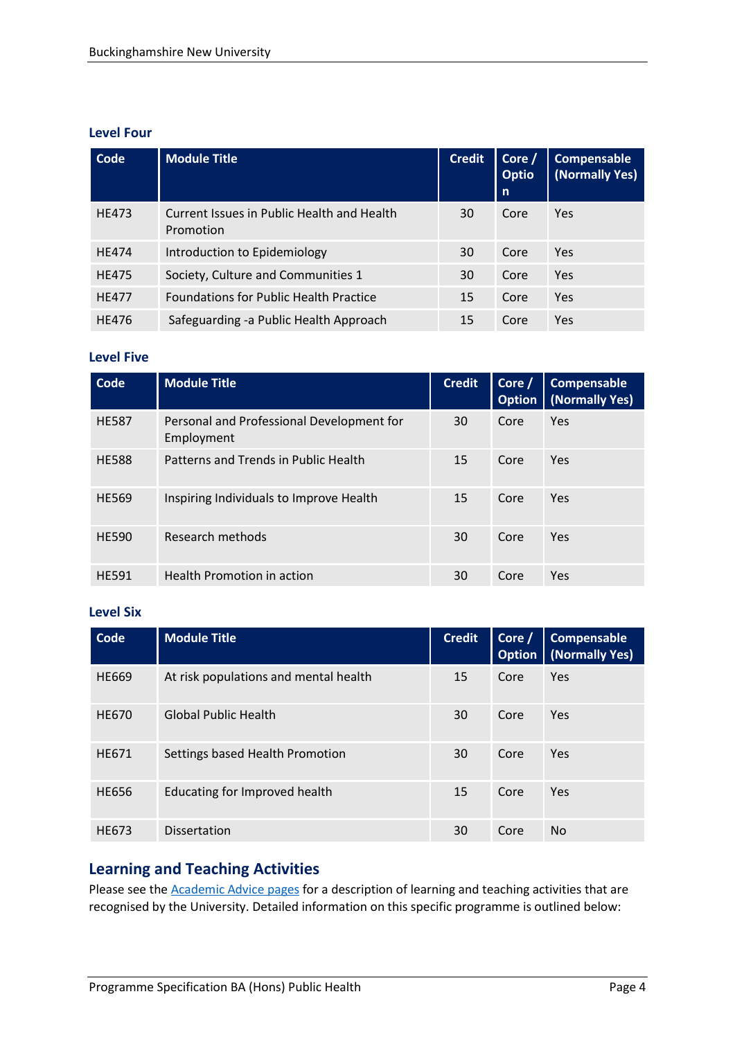#### **Level Four**

| Code         | <b>Module Title</b>                                     | <b>Credit</b> | Corre /<br><b>Optio</b><br>n | Compensable<br>(Normally Yes) |
|--------------|---------------------------------------------------------|---------------|------------------------------|-------------------------------|
| <b>HE473</b> | Current Issues in Public Health and Health<br>Promotion | 30            | Core                         | Yes                           |
| <b>HE474</b> | Introduction to Epidemiology                            | 30            | Core                         | Yes                           |
| <b>HE475</b> | Society, Culture and Communities 1                      | 30            | Core                         | Yes                           |
| <b>HF477</b> | <b>Foundations for Public Health Practice</b>           | 15            | Core                         | Yes                           |
| <b>HE476</b> | Safeguarding -a Public Health Approach                  | 15            | Core                         | Yes                           |

#### **Level Five**

| Code         | <b>Module Title</b>                                     | <b>Credit</b> | Core /<br><b>Option</b> | Compensable<br>(Normally Yes) |
|--------------|---------------------------------------------------------|---------------|-------------------------|-------------------------------|
| <b>HE587</b> | Personal and Professional Development for<br>Employment | 30            | Core                    | Yes                           |
| <b>HE588</b> | Patterns and Trends in Public Health                    | 15            | Core                    | Yes                           |
| <b>HE569</b> | Inspiring Individuals to Improve Health                 | 15            | Core                    | Yes                           |
| <b>HE590</b> | Research methods                                        | 30            | Core                    | Yes                           |
| <b>HE591</b> | <b>Health Promotion in action</b>                       | 30            | Core                    | Yes                           |

#### **Level Six**

| Code         | <b>Module Title</b>                   | <b>Credit</b> | Corc<br><b>Option</b> | <b>Compensable</b><br>(Normally Yes) |
|--------------|---------------------------------------|---------------|-----------------------|--------------------------------------|
| HE669        | At risk populations and mental health | 15            | Core                  | Yes                                  |
| <b>HE670</b> | <b>Global Public Health</b>           | 30            | Core                  | Yes                                  |
| HE671        | Settings based Health Promotion       | 30            | Core                  | Yes                                  |
| <b>HE656</b> | Educating for Improved health         | 15            | Core                  | Yes                                  |
| HE673        | <b>Dissertation</b>                   | 30            | Core                  | No.                                  |

# **Learning and Teaching Activities**

Please see the **Academic Advice pages** for a description of learning and teaching activities that are recognised by the University. Detailed information on this specific programme is outlined below: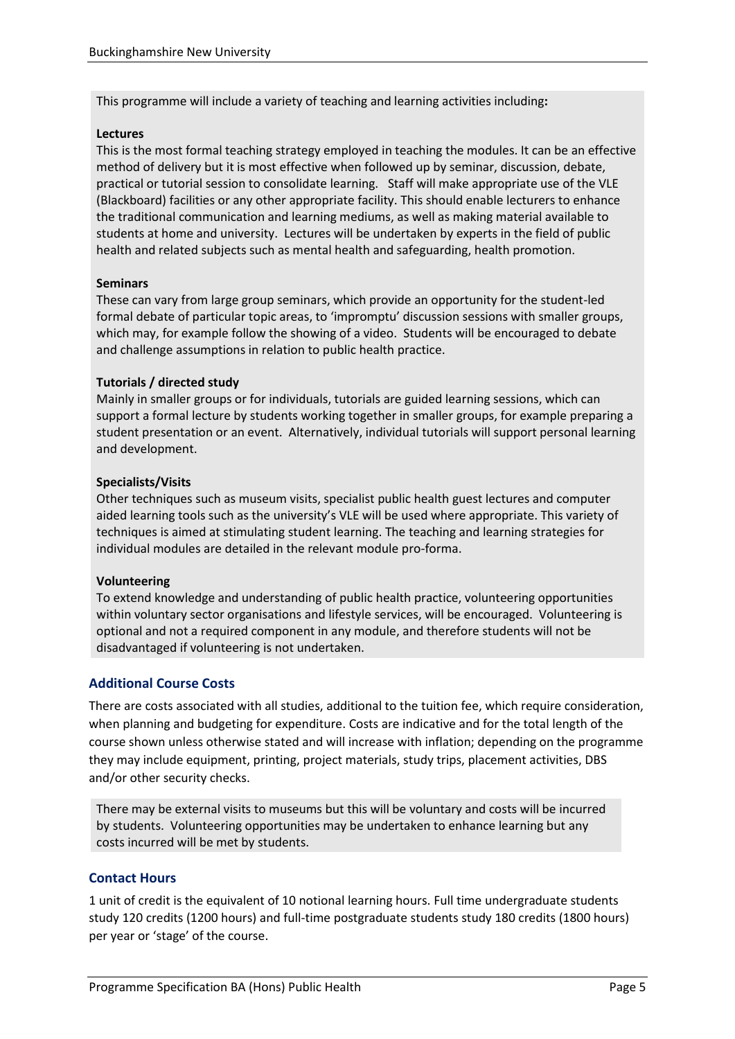This programme will include a variety of teaching and learning activities including**:** 

#### **Lectures**

This is the most formal teaching strategy employed in teaching the modules. It can be an effective method of delivery but it is most effective when followed up by seminar, discussion, debate, practical or tutorial session to consolidate learning. Staff will make appropriate use of the VLE (Blackboard) facilities or any other appropriate facility. This should enable lecturers to enhance the traditional communication and learning mediums, as well as making material available to students at home and university. Lectures will be undertaken by experts in the field of public health and related subjects such as mental health and safeguarding, health promotion.

#### **Seminars**

These can vary from large group seminars, which provide an opportunity for the student-led formal debate of particular topic areas, to 'impromptu' discussion sessions with smaller groups, which may, for example follow the showing of a video. Students will be encouraged to debate and challenge assumptions in relation to public health practice.

#### **Tutorials / directed study**

Mainly in smaller groups or for individuals, tutorials are guided learning sessions, which can support a formal lecture by students working together in smaller groups, for example preparing a student presentation or an event. Alternatively, individual tutorials will support personal learning and development.

#### **Specialists/Visits**

Other techniques such as museum visits, specialist public health guest lectures and computer aided learning tools such as the university's VLE will be used where appropriate. This variety of techniques is aimed at stimulating student learning. The teaching and learning strategies for individual modules are detailed in the relevant module pro-forma.

#### **Volunteering**

To extend knowledge and understanding of public health practice, volunteering opportunities within voluntary sector organisations and lifestyle services, will be encouraged. Volunteering is optional and not a required component in any module, and therefore students will not be disadvantaged if volunteering is not undertaken.

#### **Additional Course Costs**

There are costs associated with all studies, additional to the tuition fee, which require consideration, when planning and budgeting for expenditure. Costs are indicative and for the total length of the course shown unless otherwise stated and will increase with inflation; depending on the programme they may include equipment, printing, project materials, study trips, placement activities, DBS and/or other security checks.

There may be external visits to museums but this will be voluntary and costs will be incurred by students. Volunteering opportunities may be undertaken to enhance learning but any costs incurred will be met by students.

#### **Contact Hours**

1 unit of credit is the equivalent of 10 notional learning hours. Full time undergraduate students study 120 credits (1200 hours) and full-time postgraduate students study 180 credits (1800 hours) per year or 'stage' of the course.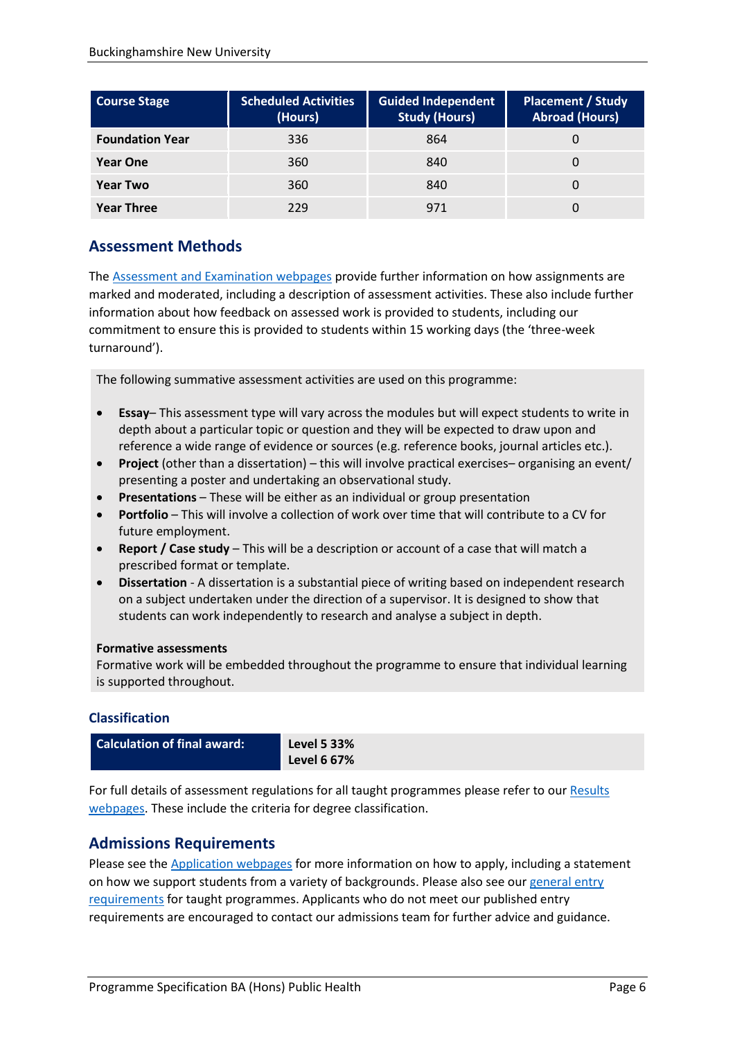| <b>Course Stage</b>    | <b>Scheduled Activities</b><br>(Hours) | <b>Guided Independent</b><br><b>Study (Hours)</b> | <b>Placement / Study</b><br><b>Abroad (Hours)</b> |
|------------------------|----------------------------------------|---------------------------------------------------|---------------------------------------------------|
| <b>Foundation Year</b> | 336                                    | 864                                               |                                                   |
| <b>Year One</b>        | 360                                    | 840                                               |                                                   |
| <b>Year Two</b>        | 360                                    | 840                                               |                                                   |
| <b>Year Three</b>      | 229                                    | 971                                               |                                                   |

# **Assessment Methods**

The [Assessment and Examination webpages](https://bucks.ac.uk/students/academicadvice/assessment-and-examination) provide further information on how assignments are marked and moderated, including a description of assessment activities. These also include further information about how feedback on assessed work is provided to students, including our commitment to ensure this is provided to students within 15 working days (the 'three-week turnaround').

The following summative assessment activities are used on this programme:

- **Essay** This assessment type will vary across the modules but will expect students to write in depth about a particular topic or question and they will be expected to draw upon and reference a wide range of evidence or sources (e.g. reference books, journal articles etc.).
- **Project** (other than a dissertation) this will involve practical exercises– organising an event/ presenting a poster and undertaking an observational study.
- **Presentations** These will be either as an individual or group presentation
- **Portfolio** This will involve a collection of work over time that will contribute to a CV for future employment.
- **Report / Case study** This will be a description or account of a case that will match a prescribed format or template.
- **Dissertation** A dissertation is a substantial piece of writing based on independent research on a subject undertaken under the direction of a supervisor. It is designed to show that students can work independently to research and analyse a subject in depth.

#### **Formative assessments**

Formative work will be embedded throughout the programme to ensure that individual learning is supported throughout.

#### **Classification**

**Calculation of final award: Level 5 33%**

**Level 6 67%**

For full details of assessment regulations for all taught programmes please refer to our Results [webpages.](https://bucks.ac.uk/students/academicadvice/results) These include the criteria for degree classification.

### **Admissions Requirements**

Please see the [Application webpages](https://bucks.ac.uk/applying-to-bucks) for more information on how to apply, including a statement on how we support students from a variety of backgrounds. Please also see our general entry [requirements](https://bucks.ac.uk/applying-to-bucks/general-entry-requirements) for taught programmes. Applicants who do not meet our published entry requirements are encouraged to contact our admissions team for further advice and guidance.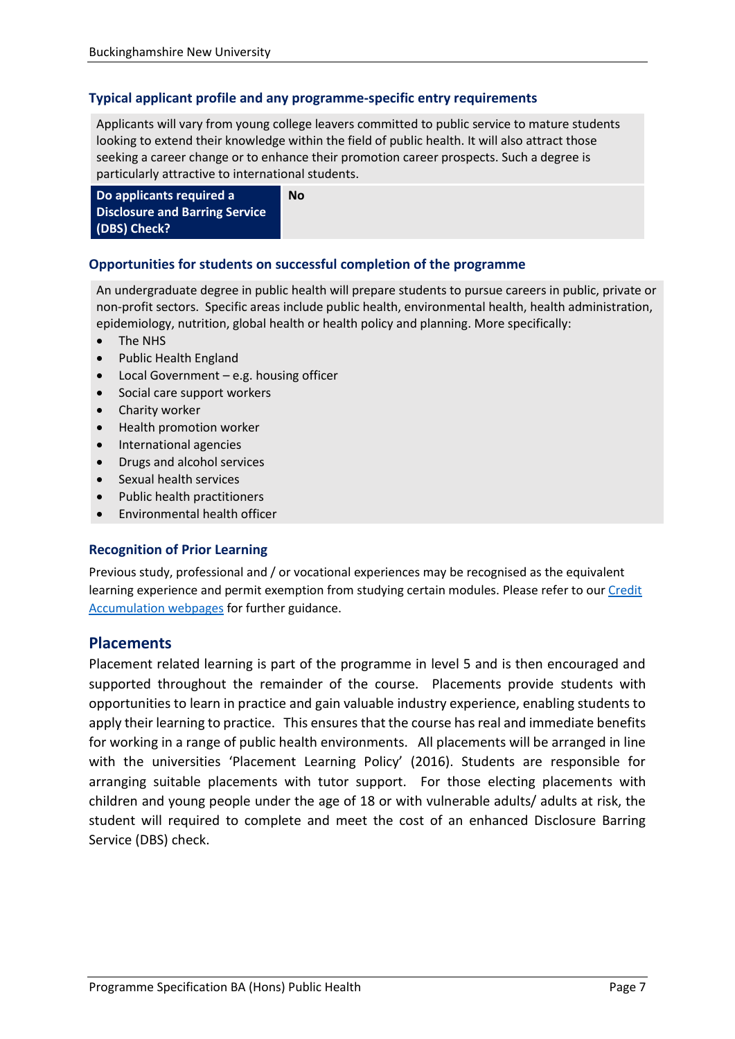### **Typical applicant profile and any programme-specific entry requirements**

Applicants will vary from young college leavers committed to public service to mature students looking to extend their knowledge within the field of public health. It will also attract those seeking a career change or to enhance their promotion career prospects. Such a degree is particularly attractive to international students.

**Do applicants required a Disclosure and Barring Service (DBS) Check? No**

#### **Opportunities for students on successful completion of the programme**

An undergraduate degree in public health will prepare students to pursue careers in public, private or non-profit sectors. Specific areas include public health, environmental health, health administration, epidemiology, nutrition, global health or health policy and planning. More specifically:

- The NHS
- Public Health England
- Local Government e.g. housing officer
- Social care support workers
- Charity worker
- Health promotion worker
- International agencies
- Drugs and alcohol services
- Sexual health services
- Public health practitioners
- Environmental health officer

#### **Recognition of Prior Learning**

Previous study, professional and / or vocational experiences may be recognised as the equivalent learning experience and permit exemption from studying certain modules. Please refer to our Credit [Accumulation webpages](https://bucks.ac.uk/students/academicadvice/managing-your-studies/credit-accumulation) for further guidance.

### **Placements**

Placement related learning is part of the programme in level 5 and is then encouraged and supported throughout the remainder of the course. Placements provide students with opportunities to learn in practice and gain valuable industry experience, enabling students to apply their learning to practice. This ensures that the course has real and immediate benefits for working in a range of public health environments. All placements will be arranged in line with the universities 'Placement Learning Policy' (2016). Students are responsible for arranging suitable placements with tutor support. For those electing placements with children and young people under the age of 18 or with vulnerable adults/ adults at risk, the student will required to complete and meet the cost of an enhanced Disclosure Barring Service (DBS) check.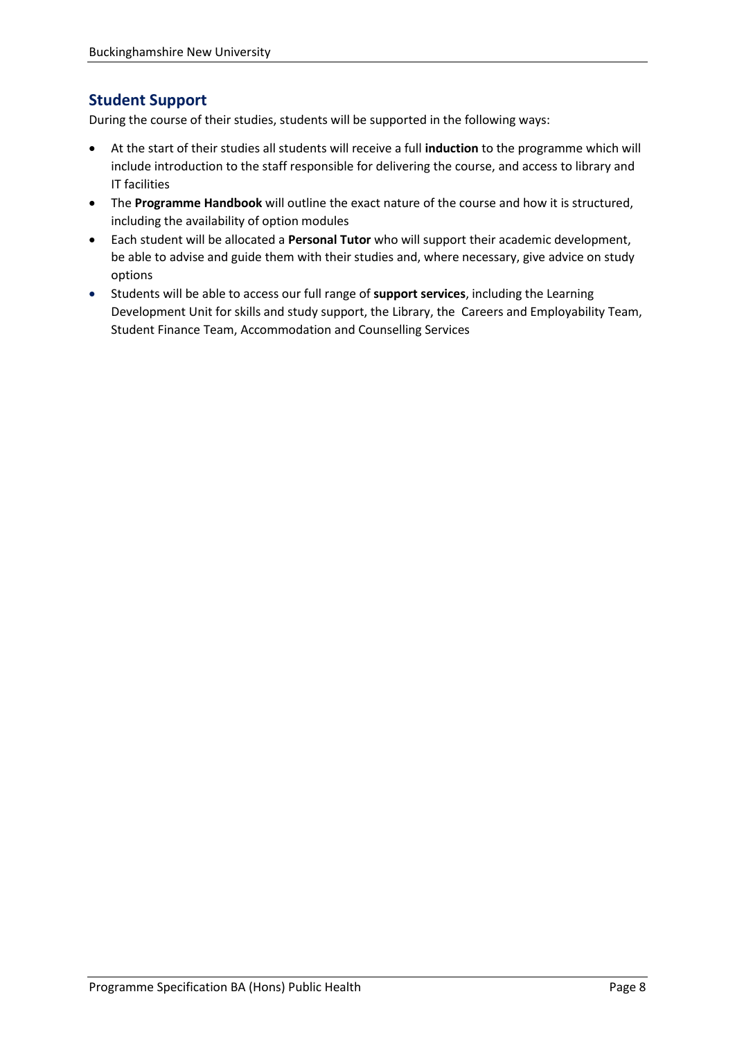# **Student Support**

During the course of their studies, students will be supported in the following ways:

- At the start of their studies all students will receive a full **induction** to the programme which will include introduction to the staff responsible for delivering the course, and access to library and IT facilities
- The **Programme Handbook** will outline the exact nature of the course and how it is structured, including the availability of option modules
- Each student will be allocated a **Personal Tutor** who will support their academic development, be able to advise and guide them with their studies and, where necessary, give advice on study options
- Students will be able to access our full range of **support services**, including the Learning Development Unit for skills and study support, the Library, the Careers and Employability Team, Student Finance Team, Accommodation and Counselling Services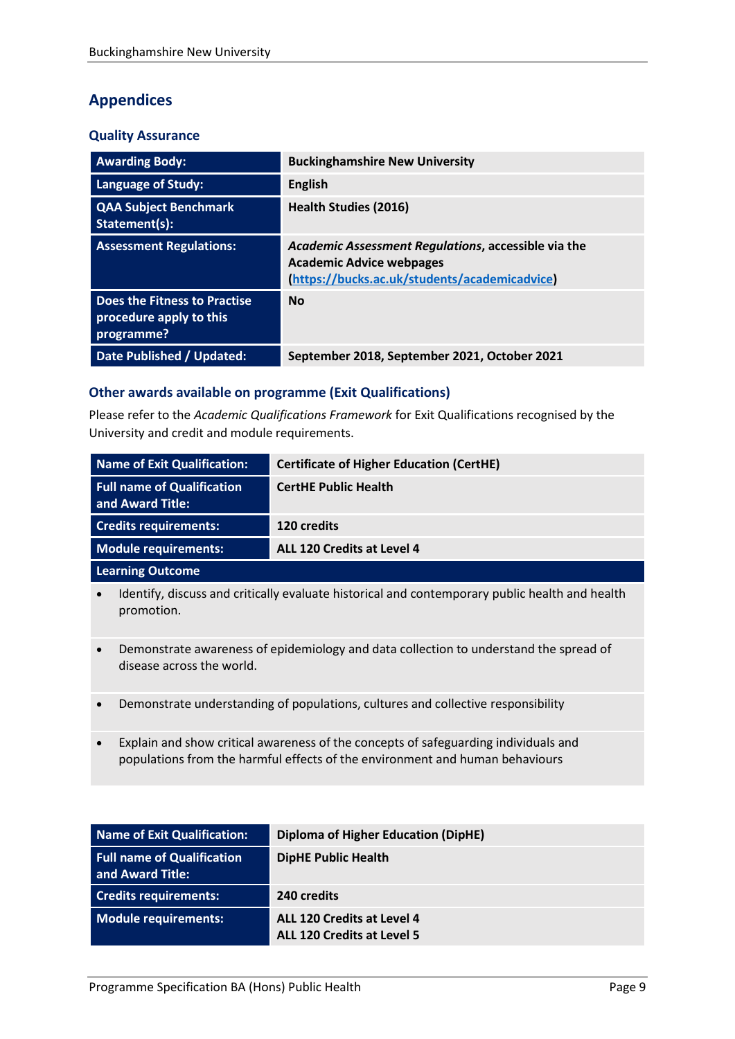# **Appendices**

### **Quality Assurance**

| <b>Awarding Body:</b>                                                 | <b>Buckinghamshire New University</b>                                                                                                   |
|-----------------------------------------------------------------------|-----------------------------------------------------------------------------------------------------------------------------------------|
| <b>Language of Study:</b>                                             | <b>English</b>                                                                                                                          |
| <b>QAA Subject Benchmark</b><br>Statement(s):                         | Health Studies (2016)                                                                                                                   |
| <b>Assessment Regulations:</b>                                        | Academic Assessment Regulations, accessible via the<br><b>Academic Advice webpages</b><br>(https://bucks.ac.uk/students/academicadvice) |
| Does the Fitness to Practise<br>procedure apply to this<br>programme? | <b>No</b>                                                                                                                               |
| Date Published / Updated:                                             | September 2018, September 2021, October 2021                                                                                            |

### **Other awards available on programme (Exit Qualifications)**

Please refer to the *Academic Qualifications Framework* for Exit Qualifications recognised by the University and credit and module requirements.

| Name of Exit Qualification:                                                                                                     | <b>Certificate of Higher Education (CertHE)</b> |  |
|---------------------------------------------------------------------------------------------------------------------------------|-------------------------------------------------|--|
| <b>Full name of Qualification</b><br>and Award Title:                                                                           | <b>CertHE Public Health</b>                     |  |
| <b>Credits requirements:</b>                                                                                                    | 120 credits                                     |  |
| Module requirements:                                                                                                            | ALL 120 Credits at Level 4                      |  |
| <b>Learning Outcome</b>                                                                                                         |                                                 |  |
| Identify, discuss and critically evaluate historical and contemporary public health and health<br>$\bullet$<br>promotion.       |                                                 |  |
| Demonstrate awareness of epidemiology and data collection to understand the spread of<br>$\bullet$<br>disease across the world. |                                                 |  |
| Demonstrate understanding of populations, cultures and collective responsibility<br>$\bullet$                                   |                                                 |  |

• Explain and show critical awareness of the concepts of safeguarding individuals and populations from the harmful effects of the environment and human behaviours

| Name of Exit Qualification:                           | <b>Diploma of Higher Education (DipHE)</b>                      |
|-------------------------------------------------------|-----------------------------------------------------------------|
| <b>Full name of Qualification</b><br>and Award Title: | <b>DipHE Public Health</b>                                      |
| <b>Credits requirements:</b>                          | 240 credits                                                     |
| Module requirements:                                  | ALL 120 Credits at Level 4<br><b>ALL 120 Credits at Level 5</b> |